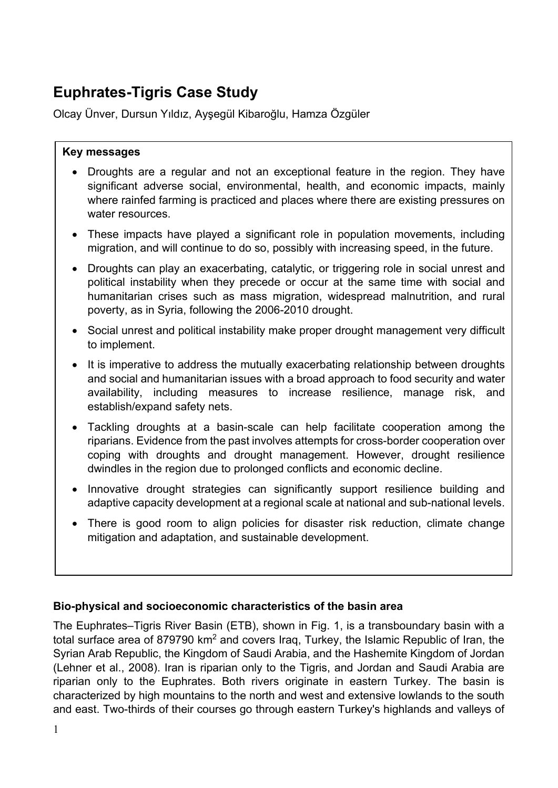# **Euphrates-Tigris Case Study**

Olcay Ünver, Dursun Yıldız, Ayşegül Kibaroğlu, Hamza Özgüler

# **Key messages**

- Droughts are a regular and not an exceptional feature in the region. They have significant adverse social, environmental, health, and economic impacts, mainly where rainfed farming is practiced and places where there are existing pressures on water resources
- These impacts have played a significant role in population movements, including migration, and will continue to do so, possibly with increasing speed, in the future.
- Droughts can play an exacerbating, catalytic, or triggering role in social unrest and political instability when they precede or occur at the same time with social and humanitarian crises such as mass migration, widespread malnutrition, and rural poverty, as in Syria, following the 2006-2010 drought.
- Social unrest and political instability make proper drought management very difficult to implement.
- It is imperative to address the mutually exacerbating relationship between droughts and social and humanitarian issues with a broad approach to food security and water availability, including measures to increase resilience, manage risk, and establish/expand safety nets.
- Tackling droughts at a basin-scale can help facilitate cooperation among the riparians. Evidence from the past involves attempts for cross-border cooperation over coping with droughts and drought management. However, drought resilience dwindles in the region due to prolonged conflicts and economic decline.
- Innovative drought strategies can significantly support resilience building and adaptive capacity development at a regional scale at national and sub-national levels.
- There is good room to align policies for disaster risk reduction, climate change mitigation and adaptation, and sustainable development.

# **Bio-physical and socioeconomic characteristics of the basin area**

The Euphrates–Tigris River Basin (ETB), shown in Fig. 1, is a transboundary basin with a total surface area of 879790 km<sup>2</sup> and covers Irag, Turkey, the Islamic Republic of Iran, the Syrian Arab Republic, the Kingdom of Saudi Arabia, and the Hashemite Kingdom of Jordan (Lehner et al., 2008). Iran is riparian only to the Tigris, and Jordan and Saudi Arabia are riparian only to the Euphrates. Both rivers originate in eastern Turkey. The basin is characterized by high mountains to the north and west and extensive lowlands to the south and east. Two-thirds of their courses go through eastern Turkey's highlands and valleys of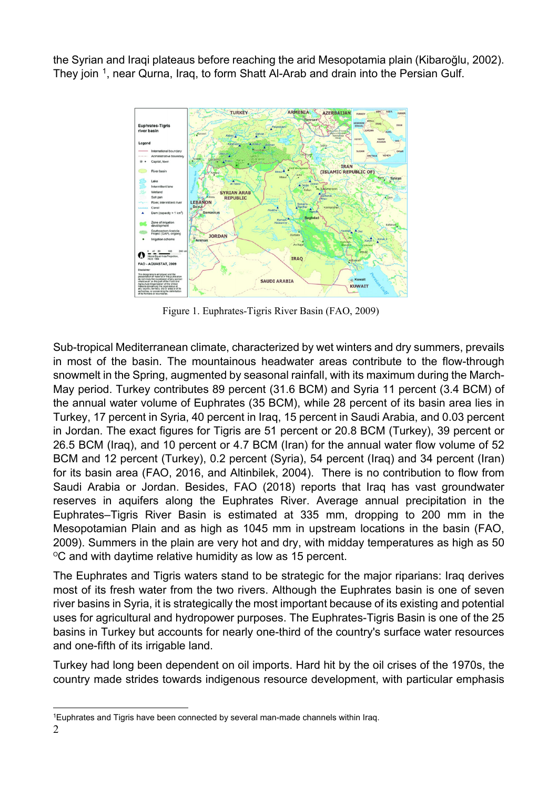the Syrian and Iraqi plateaus before reaching the arid Mesopotamia plain (Kibaroğlu, 2002). They join <sup>1</sup>, near Qurna, Iraq, to form Shatt Al-Arab and drain into the Persian Gulf.



Figure 1. Euphrates-Tigris River Basin (FAO, 2009)

Sub-tropical Mediterranean climate, characterized by wet winters and dry summers, prevails in most of the basin. The mountainous headwater areas contribute to the flow-through snowmelt in the Spring, augmented by seasonal rainfall, with its maximum during the March-May period. Turkey contributes 89 percent (31.6 BCM) and Syria 11 percent (3.4 BCM) of the annual water volume of Euphrates (35 BCM), while 28 percent of its basin area lies in Turkey, 17 percent in Syria, 40 percent in Iraq, 15 percent in Saudi Arabia, and 0.03 percent in Jordan. The exact figures for Tigris are 51 percent or 20.8 BCM (Turkey), 39 percent or 26.5 BCM (Iraq), and 10 percent or 4.7 BCM (Iran) for the annual water flow volume of 52 BCM and 12 percent (Turkey), 0.2 percent (Syria), 54 percent (Iraq) and 34 percent (Iran) for its basin area (FAO, 2016, and Altinbilek, 2004). There is no contribution to flow from Saudi Arabia or Jordan. Besides, FAO (2018) reports that Iraq has vast groundwater reserves in aquifers along the Euphrates River. Average annual precipitation in the Euphrates–Tigris River Basin is estimated at 335 mm, dropping to 200 mm in the Mesopotamian Plain and as high as 1045 mm in upstream locations in the basin (FAO, 2009). Summers in the plain are very hot and dry, with midday temperatures as high as 50  $\mathrm{C}$  and with daytime relative humidity as low as 15 percent.

The Euphrates and Tigris waters stand to be strategic for the major riparians: Iraq derives most of its fresh water from the two rivers. Although the Euphrates basin is one of seven river basins in Syria, it is strategically the most important because of its existing and potential uses for agricultural and hydropower purposes. The Euphrates-Tigris Basin is one of the 25 basins in Turkey but accounts for nearly one-third of the country's surface water resources and one-fifth of its irrigable land.

Turkey had long been dependent on oil imports. Hard hit by the oil crises of the 1970s, the country made strides towards indigenous resource development, with particular emphasis

<span id="page-1-0"></span><sup>&</sup>lt;u>.</u> <sup>1</sup>Euphrates and Tigris have been connected by several man-made channels within Iraq.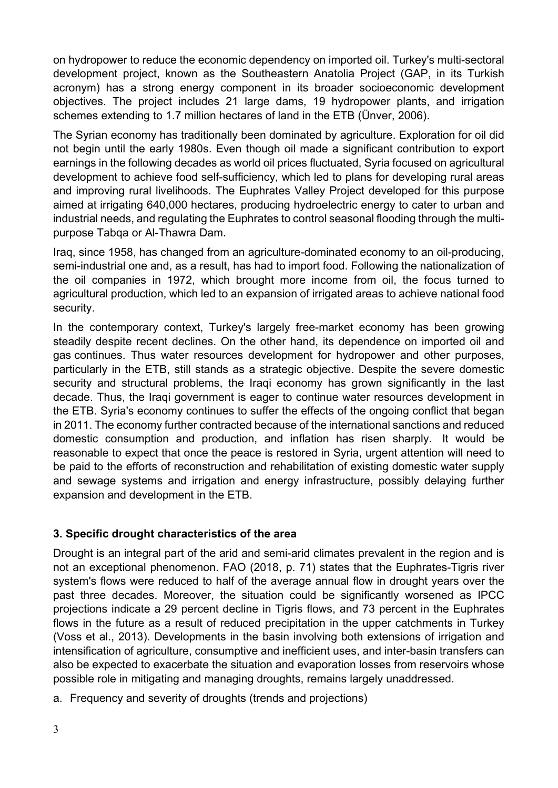on hydropower to reduce the economic dependency on imported oil. Turkey's multi-sectoral development project, known as the Southeastern Anatolia Project (GAP, in its Turkish acronym) has a strong energy component in its broader socioeconomic development objectives. The project includes 21 large dams, 19 hydropower plants, and irrigation schemes extending to 1.7 million hectares of land in the ETB (Ünver, 2006).

The Syrian economy has traditionally been dominated by agriculture. Exploration for oil did not begin until the early 1980s. Even though oil made a significant contribution to export earnings in the following decades as world oil prices fluctuated, Syria focused on agricultural development to achieve food self-sufficiency, which led to plans for developing rural areas and improving rural livelihoods. The Euphrates Valley Project developed for this purpose aimed at irrigating 640,000 hectares, producing hydroelectric energy to cater to urban and industrial needs, and regulating the Euphrates to control seasonal flooding through the multipurpose Tabqa or Al-Thawra Dam.

Iraq, since 1958, has changed from an agriculture-dominated economy to an oil-producing, semi-industrial one and, as a result, has had to import food. Following the nationalization of the oil companies in 1972, which brought more income from oil, the focus turned to agricultural production, which led to an expansion of irrigated areas to achieve national food security.

In the contemporary context, Turkey's largely free-market economy has been growing steadily despite recent declines. On the other hand, its dependence on imported oil and gas continues. Thus water resources development for hydropower and other purposes, particularly in the ETB, still stands as a strategic objective. Despite the severe domestic security and structural problems, the Iraqi economy has grown significantly in the last decade. Thus, the Iraqi government is eager to continue water resources development in the ETB. Syria's economy continues to suffer the effects of the ongoing conflict that began in 2011. The economy further contracted because of the international sanctions and reduced domestic consumption and production, and inflation has risen sharply. It would be reasonable to expect that once the peace is restored in Syria, urgent attention will need to be paid to the efforts of reconstruction and rehabilitation of existing domestic water supply and sewage systems and irrigation and energy infrastructure, possibly delaying further expansion and development in the ETB.

# **3. Specific drought characteristics of the area**

Drought is an integral part of the arid and semi-arid climates prevalent in the region and is not an exceptional phenomenon. FAO (2018, p. 71) states that the Euphrates-Tigris river system's flows were reduced to half of the average annual flow in drought years over the past three decades. Moreover, the situation could be significantly worsened as IPCC projections indicate a 29 percent decline in Tigris flows, and 73 percent in the Euphrates flows in the future as a result of reduced precipitation in the upper catchments in Turkey (Voss et al., 2013). Developments in the basin involving both extensions of irrigation and intensification of agriculture, consumptive and inefficient uses, and inter-basin transfers can also be expected to exacerbate the situation and evaporation losses from reservoirs whose possible role in mitigating and managing droughts, remains largely unaddressed.

a. Frequency and severity of droughts (trends and projections)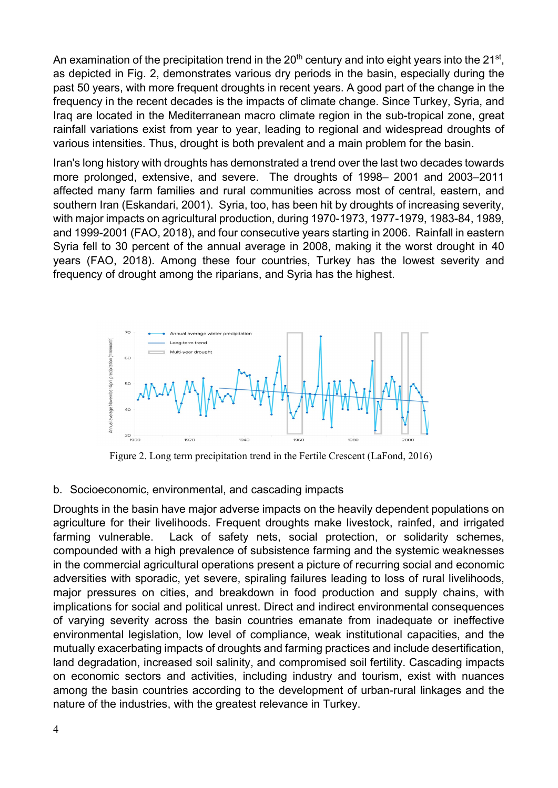An examination of the precipitation trend in the  $20<sup>th</sup>$  century and into eight years into the  $21<sup>st</sup>$ , as depicted in Fig. 2, demonstrates various dry periods in the basin, especially during the past 50 years, with more frequent droughts in recent years. A good part of the change in the frequency in the recent decades is the impacts of climate change. Since Turkey, Syria, and Iraq are located in the Mediterranean macro climate region in the sub-tropical zone, great rainfall variations exist from year to year, leading to regional and widespread droughts of various intensities. Thus, drought is both prevalent and a main problem for the basin.

Iran's long history with droughts has demonstrated a trend over the last two decades towards more prolonged, extensive, and severe. The droughts of 1998– 2001 and 2003–2011 affected many farm families and rural communities across most of central, eastern, and southern Iran (Eskandari, 2001). Syria, too, has been hit by droughts of increasing severity, with major impacts on agricultural production, during 1970-1973, 1977-1979, 1983-84, 1989, and 1999-2001 (FAO, 2018), and four consecutive years starting in 2006. Rainfall in eastern Syria fell to 30 percent of the annual average in 2008, making it the worst drought in 40 years (FAO, 2018). Among these four countries, Turkey has the lowest severity and frequency of drought among the riparians, and Syria has the highest.



Figure 2. Long term precipitation trend in the Fertile Crescent (LaFond, 2016)

#### b. Socioeconomic, environmental, and cascading impacts

Droughts in the basin have major adverse impacts on the heavily dependent populations on agriculture for their livelihoods. Frequent droughts make livestock, rainfed, and irrigated farming vulnerable. Lack of safety nets, social protection, or solidarity schemes, compounded with a high prevalence of subsistence farming and the systemic weaknesses in the commercial agricultural operations present a picture of recurring social and economic adversities with sporadic, yet severe, spiraling failures leading to loss of rural livelihoods, major pressures on cities, and breakdown in food production and supply chains, with implications for social and political unrest. Direct and indirect environmental consequences of varying severity across the basin countries emanate from inadequate or ineffective environmental legislation, low level of compliance, weak institutional capacities, and the mutually exacerbating impacts of droughts and farming practices and include desertification, land degradation, increased soil salinity, and compromised soil fertility. Cascading impacts on economic sectors and activities, including industry and tourism, exist with nuances among the basin countries according to the development of urban-rural linkages and the nature of the industries, with the greatest relevance in Turkey.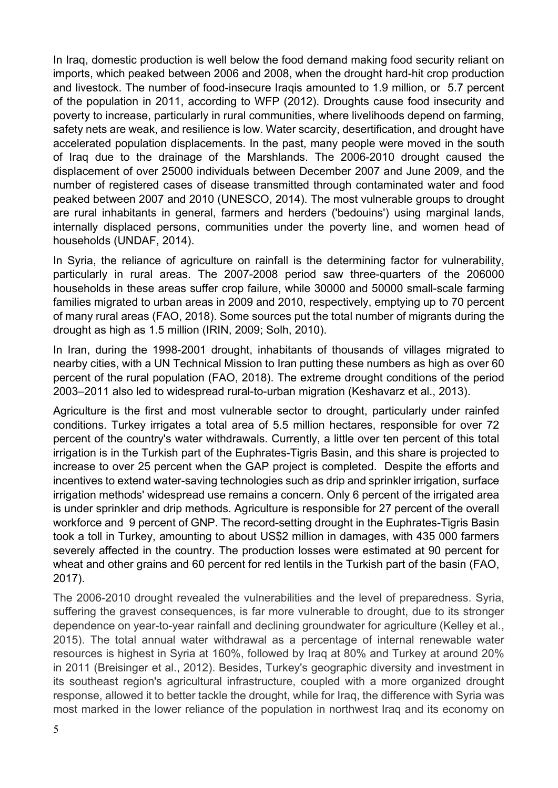In Iraq, domestic production is well below the food demand making food security reliant on imports, which peaked between 2006 and 2008, when the drought hard-hit crop production and livestock. The number of food-insecure Iraqis amounted to 1.9 million, or 5.7 percent of the population in 2011, according to WFP (2012). Droughts cause food insecurity and poverty to increase, particularly in rural communities, where livelihoods depend on farming, safety nets are weak, and resilience is low. Water scarcity, desertification, and drought have accelerated population displacements. In the past, many people were moved in the south of Iraq due to the drainage of the Marshlands. The 2006-2010 drought caused the displacement of over 25000 individuals between December 2007 and June 2009, and the number of registered cases of disease transmitted through contaminated water and food peaked between 2007 and 2010 (UNESCO, 2014). The most vulnerable groups to drought are rural inhabitants in general, farmers and herders ('bedouins') using marginal lands, internally displaced persons, communities under the poverty line, and women head of households (UNDAF, 2014).

In Syria, the reliance of agriculture on rainfall is the determining factor for vulnerability, particularly in rural areas. The 2007-2008 period saw three-quarters of the 206000 households in these areas suffer crop failure, while 30000 and 50000 small-scale farming families migrated to urban areas in 2009 and 2010, respectively, emptying up to 70 percent of many rural areas (FAO, 2018). Some sources put the total number of migrants during the drought as high as 1.5 million (IRIN, 2009; Solh, 2010).

In Iran, during the 1998-2001 drought, inhabitants of thousands of villages migrated to nearby cities, with a UN Technical Mission to Iran putting these numbers as high as over 60 percent of the rural population (FAO, 2018). The extreme drought conditions of the period 2003–2011 also led to widespread rural-to-urban migration (Keshavarz et al., 2013).

Agriculture is the first and most vulnerable sector to drought, particularly under rainfed conditions. Turkey irrigates a total area of 5.5 million hectares, responsible for over 72 percent of the country's water withdrawals. Currently, a little over ten percent of this total irrigation is in the Turkish part of the Euphrates-Tigris Basin, and this share is projected to increase to over 25 percent when the GAP project is completed. Despite the efforts and incentives to extend water-saving technologies such as drip and sprinkler irrigation, surface irrigation methods' widespread use remains a concern. Only 6 percent of the irrigated area is under sprinkler and drip methods. Agriculture is responsible for 27 percent of the overall workforce and 9 percent of GNP. The record-setting drought in the Euphrates-Tigris Basin took a toll in Turkey, amounting to about US\$2 million in damages, with 435 000 farmers severely affected in the country. The production losses were estimated at 90 percent for wheat and other grains and 60 percent for red lentils in the Turkish part of the basin (FAO, 2017).

The 2006-2010 drought revealed the vulnerabilities and the level of preparedness. Syria, suffering the gravest consequences, is far more vulnerable to drought, due to its stronger dependence on year-to-year rainfall and declining groundwater for agriculture (Kelley et al., 2015). The total annual water withdrawal as a percentage of internal renewable water resources is highest in Syria at 160%, followed by Iraq at 80% and Turkey at around 20% in 2011 (Breisinger et al., 2012). Besides, Turkey's geographic diversity and investment in its southeast region's agricultural infrastructure, coupled with a more organized drought response, allowed it to better tackle the drought, while for Iraq, the difference with Syria was most marked in the lower reliance of the population in northwest Iraq and its economy on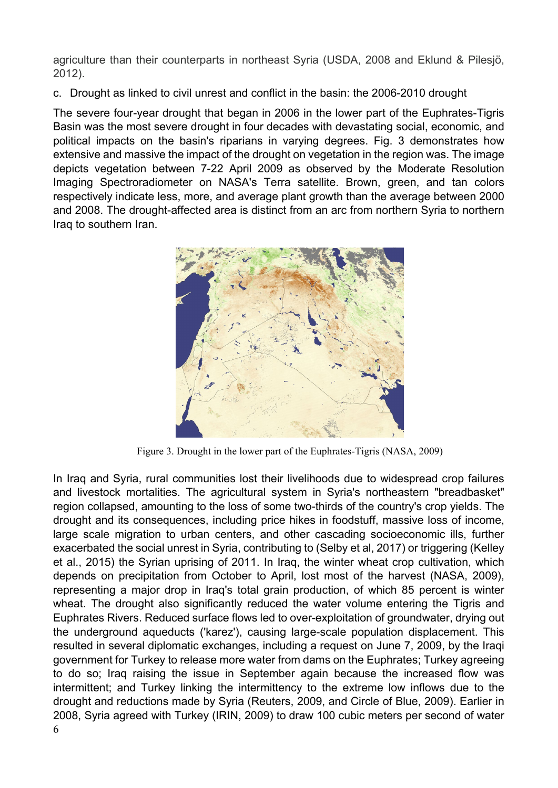agriculture than their counterparts in northeast Syria (USDA, 2008 and Eklund & Pilesjö, 2012).

c. Drought as linked to civil unrest and conflict in the basin: the 2006-2010 drought

The severe four-year drought that began in 2006 in the lower part of the Euphrates-Tigris Basin was the most severe drought in four decades with devastating social, economic, and political impacts on the basin's riparians in varying degrees. Fig. 3 demonstrates how extensive and massive the impact of the drought on vegetation in the region was. The image depicts vegetation between 7-22 April 2009 as observed by the Moderate Resolution Imaging Spectroradiometer on NASA's Terra satellite. Brown, green, and tan colors respectively indicate less, more, and average plant growth than the average between 2000 and 2008. The drought-affected area is distinct from an arc from northern Syria to northern Iraq to southern Iran.



Figure 3. Drought in the lower part of the Euphrates-Tigris (NASA, 2009)

In Iraq and Syria, rural communities lost their livelihoods due to widespread crop failures and livestock mortalities. The agricultural system in Syria's northeastern "breadbasket" region collapsed, amounting to the loss of some two-thirds of the country's crop yields. The drought and its consequences, including price hikes in foodstuff, massive loss of income, large scale migration to urban centers, and other cascading socioeconomic ills, further exacerbated the social unrest in Syria, contributing to (Selby et al, 2017) or triggering (Kelley et al., 2015) the Syrian uprising of 2011. In Iraq, the winter wheat crop cultivation, which depends on precipitation from October to April, lost most of the harvest (NASA, 2009), representing a major drop in Iraq's total grain production, of which 85 percent is winter wheat. The drought also significantly reduced the water volume entering the Tigris and Euphrates Rivers. Reduced surface flows led to over-exploitation of groundwater, drying out the underground aqueducts ('karez'), causing large-scale population displacement. This resulted in several diplomatic exchanges, including a request on June 7, 2009, by the Iraqi government for Turkey to release more water from dams on the Euphrates; Turkey agreeing to do so; Iraq raising the issue in September again because the increased flow was intermittent; and Turkey linking the intermittency to the extreme low inflows due to the drought and reductions made by Syria (Reuters, 2009, and Circle of Blue, 2009). Earlier in 2008, Syria agreed with Turkey (IRIN, 2009) to draw 100 cubic meters per second of water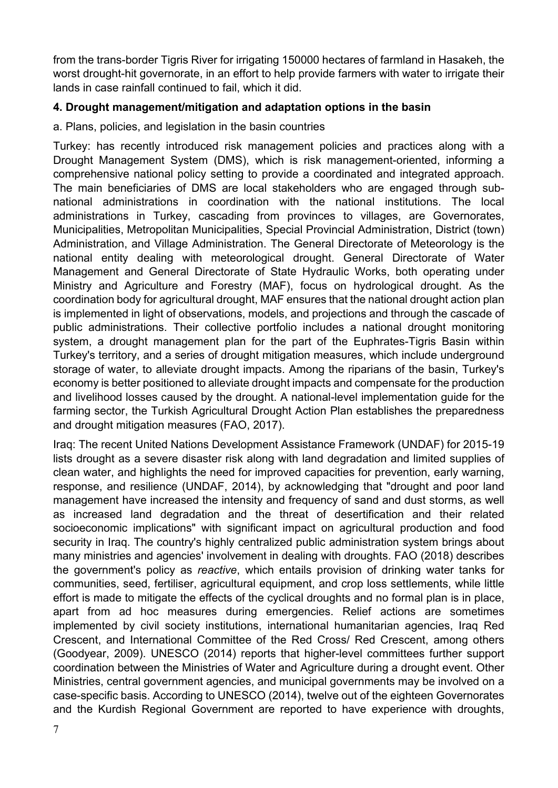from the trans-border Tigris River for irrigating 150000 hectares of farmland in Hasakeh, the worst drought-hit governorate, in an effort to help provide farmers with water to irrigate their lands in case rainfall continued to fail, which it did.

# **4. Drought management/mitigation and adaptation options in the basin**

### a. Plans, policies, and legislation in the basin countries

Turkey: has recently introduced risk management policies and practices along with a Drought Management System (DMS), which is risk management-oriented, informing a comprehensive national policy setting to provide a coordinated and integrated approach. The main beneficiaries of DMS are local stakeholders who are engaged through subnational administrations in coordination with the national institutions. The local administrations in Turkey, cascading from provinces to villages, are Governorates, Municipalities, Metropolitan Municipalities, Special Provincial Administration, District (town) Administration, and Village Administration. The General Directorate of Meteorology is the national entity dealing with meteorological drought. General Directorate of Water Management and General Directorate of State Hydraulic Works, both operating under Ministry and Agriculture and Forestry (MAF), focus on hydrological drought. As the coordination body for agricultural drought, MAF ensures that the national drought action plan is implemented in light of observations, models, and projections and through the cascade of public administrations. Their collective portfolio includes a national drought monitoring system, a drought management plan for the part of the Euphrates-Tigris Basin within Turkey's territory, and a series of drought mitigation measures, which include underground storage of water, to alleviate drought impacts. Among the riparians of the basin, Turkey's economy is better positioned to alleviate drought impacts and compensate for the production and livelihood losses caused by the drought. A national-level implementation guide for the farming sector, the Turkish Agricultural Drought Action Plan establishes the preparedness and drought mitigation measures (FAO, 2017).

Iraq: The recent United Nations Development Assistance Framework (UNDAF) for 2015-19 lists drought as a severe disaster risk along with land degradation and limited supplies of clean water, and highlights the need for improved capacities for prevention, early warning, response, and resilience (UNDAF, 2014), by acknowledging that "drought and poor land management have increased the intensity and frequency of sand and dust storms, as well as increased land degradation and the threat of desertification and their related socioeconomic implications" with significant impact on agricultural production and food security in Iraq. The country's highly centralized public administration system brings about many ministries and agencies' involvement in dealing with droughts. FAO (2018) describes the government's policy as *reactive*, which entails provision of drinking water tanks for communities, seed, fertiliser, agricultural equipment, and crop loss settlements, while little effort is made to mitigate the effects of the cyclical droughts and no formal plan is in place, apart from ad hoc measures during emergencies. Relief actions are sometimes implemented by civil society institutions, international humanitarian agencies, Iraq Red Crescent, and International Committee of the Red Cross/ Red Crescent, among others (Goodyear, 2009). UNESCO (2014) reports that higher-level committees further support coordination between the Ministries of Water and Agriculture during a drought event. Other Ministries, central government agencies, and municipal governments may be involved on a case-specific basis. According to UNESCO (2014), twelve out of the eighteen Governorates and the Kurdish Regional Government are reported to have experience with droughts,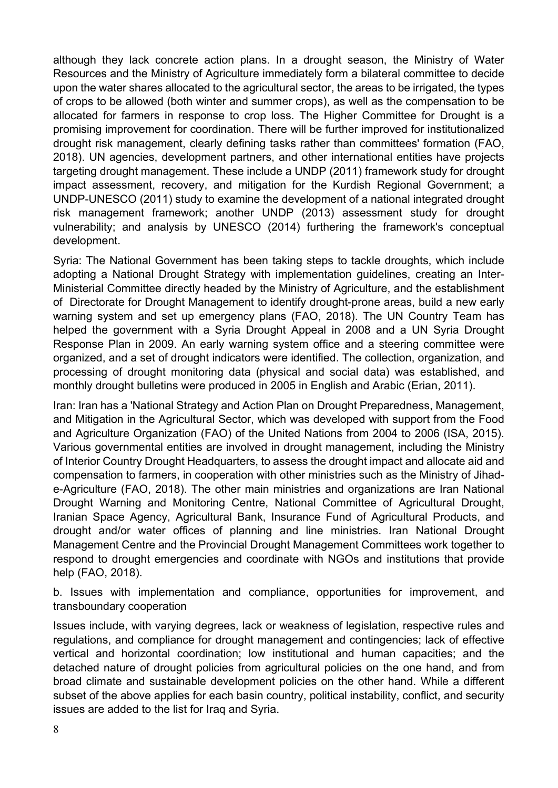although they lack concrete action plans. In a drought season, the Ministry of Water Resources and the Ministry of Agriculture immediately form a bilateral committee to decide upon the water shares allocated to the agricultural sector, the areas to be irrigated, the types of crops to be allowed (both winter and summer crops), as well as the compensation to be allocated for farmers in response to crop loss. The Higher Committee for Drought is a promising improvement for coordination. There will be further improved for institutionalized drought risk management, clearly defining tasks rather than committees' formation (FAO, 2018). UN agencies, development partners, and other international entities have projects targeting drought management. These include a UNDP (2011) framework study for drought impact assessment, recovery, and mitigation for the Kurdish Regional Government; a UNDP-UNESCO (2011) study to examine the development of a national integrated drought risk management framework; another UNDP (2013) assessment study for drought vulnerability; and analysis by UNESCO (2014) furthering the framework's conceptual development.

Syria: The National Government has been taking steps to tackle droughts, which include adopting a National Drought Strategy with implementation guidelines, creating an Inter-Ministerial Committee directly headed by the Ministry of Agriculture, and the establishment of Directorate for Drought Management to identify drought-prone areas, build a new early warning system and set up emergency plans (FAO, 2018). The UN Country Team has helped the government with a Syria Drought Appeal in 2008 and a UN Syria Drought Response Plan in 2009. An early warning system office and a steering committee were organized, and a set of drought indicators were identified. The collection, organization, and processing of drought monitoring data (physical and social data) was established, and monthly drought bulletins were produced in 2005 in English and Arabic (Erian, 2011).

Iran: Iran has a 'National Strategy and Action Plan on Drought Preparedness, Management, and Mitigation in the Agricultural Sector, which was developed with support from the Food and Agriculture Organization (FAO) of the United Nations from 2004 to 2006 (ISA, 2015). Various governmental entities are involved in drought management, including the Ministry of Interior Country Drought Headquarters, to assess the drought impact and allocate aid and compensation to farmers, in cooperation with other ministries such as the Ministry of Jihade-Agriculture (FAO, 2018). The other main ministries and organizations are Iran National Drought Warning and Monitoring Centre, National Committee of Agricultural Drought, Iranian Space Agency, Agricultural Bank, Insurance Fund of Agricultural Products, and drought and/or water offices of planning and line ministries. Iran National Drought Management Centre and the Provincial Drought Management Committees work together to respond to drought emergencies and coordinate with NGOs and institutions that provide help (FAO, 2018).

b. Issues with implementation and compliance, opportunities for improvement, and transboundary cooperation

Issues include, with varying degrees, lack or weakness of legislation, respective rules and regulations, and compliance for drought management and contingencies; lack of effective vertical and horizontal coordination; low institutional and human capacities; and the detached nature of drought policies from agricultural policies on the one hand, and from broad climate and sustainable development policies on the other hand. While a different subset of the above applies for each basin country, political instability, conflict, and security issues are added to the list for Iraq and Syria.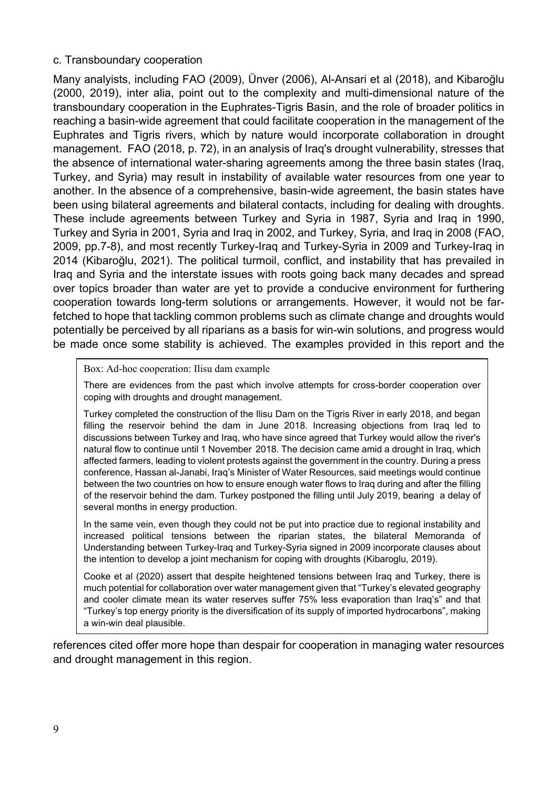#### c. Transboundary cooperation

Many analyists, including FAO (2009), Ünver (2006), Al-Ansari et al (2018), and Kibaroğlu (2000, 2019), inter alia, point out to the complexity and multi-dimensional nature of the transboundary cooperation in the Euphrates-Tigris Basin, and the role of broader politics in reaching a basin-wide agreement that could facilitate cooperation in the management of the Euphrates and Tigris rivers, which by nature would incorporate collaboration in drought management. FAO (2018, p. 72), in an analysis of Iraq's drought vulnerability, stresses that the absence of international water-sharing agreements among the three basin states (Iraq, Turkey, and Syria) may result in instability of available water resources from one year to another. In the absence of a comprehensive, basin-wide agreement, the basin states have been using bilateral agreements and bilateral contacts, including for dealing with droughts. These include agreements between Turkey and Syria in 1987, Syria and Iraq in 1990, Turkey and Syria in 2001, Syria and Iraq in 2002, and Turkey, Syria, and Iraq in 2008 (FAO, 2009, pp.7-8), and most recently Turkey-Iraq and Turkey-Syria in 2009 and Turkey-Iraq in 2014 (Kibaroğlu, 2021). The political turmoil, conflict, and instability that has prevailed in Iraq and Syria and the interstate issues with roots going back many decades and spread over topics broader than water are yet to provide a conducive environment for furthering cooperation towards long-term solutions or arrangements. However, it would not be farfetched to hope that tackling common problems such as climate change and droughts would potentially be perceived by all riparians as a basis for win-win solutions, and progress would be made once some stability is achieved. The examples provided in this report and the

#### Box: Ad-hoc cooperation: Ilisu dam example

There are evidences from the past which involve attempts for cross-border cooperation over coping with droughts and drought management.

Turkey completed the construction of the Ilisu Dam on the Tigris River in early 2018, and began filling the reservoir behind the dam in June 2018. Increasing objections from Iraq led to discussions between Turkey and Iraq, who have since agreed that Turkey would allow the river's natural flow to continue until 1 November 2018. The decision came amid a drought in Iraq, which affected farmers, leading to violent protests against the government in the country. During a press conference, Hassan al-Janabi, Iraq's Minister of Water Resources, said meetings would continue between the two countries on how to ensure enough water flows to Iraq during and after the filling of the reservoir behind the dam. Turkey postponed the filling until July 2019, bearing a delay of several months in energy production.

In the same vein, even though they could not be put into practice due to regional instability and increased political tensions between the riparian states, the bilateral Memoranda of Understanding between Turkey-Iraq and Turkey-Syria signed in 2009 incorporate clauses about the intention to develop a joint mechanism for coping with droughts (Kibaroglu, 2019).

Cooke et al (2020) assert that despite heightened tensions between Iraq and Turkey, there is much potential for collaboration over water management given that "Turkey's elevated geography and cooler climate mean its water reserves suffer 75% less evaporation than Iraq's" and that "Turkey's top energy priority is the diversification of its supply of imported hydrocarbons", making a win-win deal plausible.

references cited offer more hope than despair for cooperation in managing water resources and drought management in this region.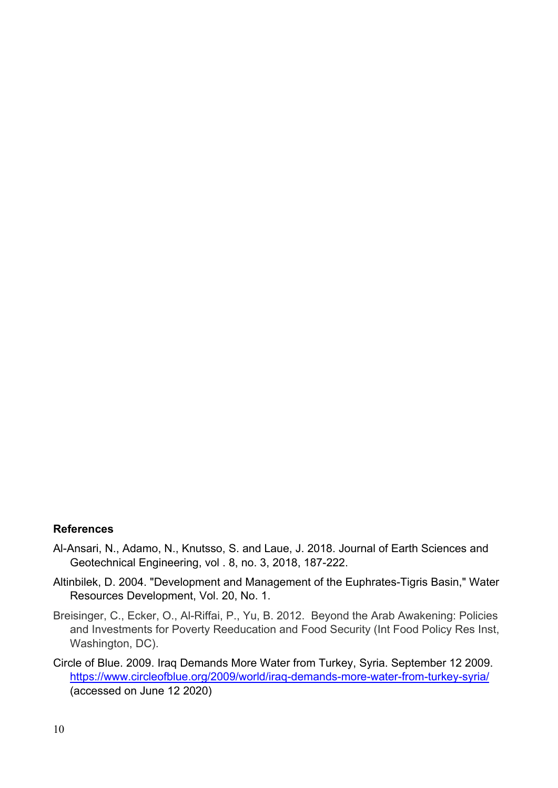#### **References**

- Al-Ansari, N., Adamo, N., Knutsso, S. and Laue, J. 2018. Journal of Earth Sciences and Geotechnical Engineering, vol . 8, no. 3, 2018, 187-222.
- Altinbilek, D. 2004. "Development and Management of the Euphrates-Tigris Basin," Water Resources Development, Vol. 20, No. 1.
- Breisinger, C., Ecker, O., Al-Riffai, P., Yu, B. 2012. Beyond the Arab Awakening: Policies and Investments for Poverty Reeducation and Food Security (Int Food Policy Res Inst, Washington, DC).
- Circle of Blue. 2009. Iraq Demands More Water from Turkey, Syria. September 12 2009. <https://www.circleofblue.org/2009/world/iraq-demands-more-water-from-turkey-syria/> (accessed on June 12 2020)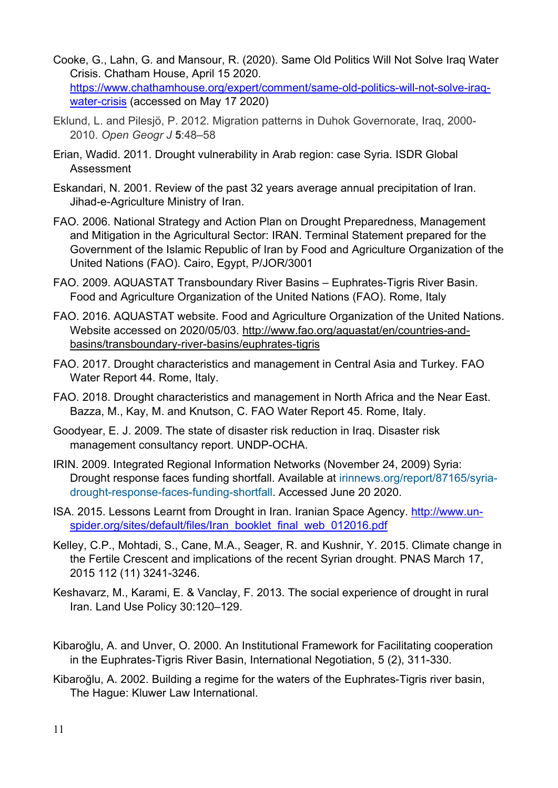- Cooke, G., Lahn, G. and Mansour, R. (2020). Same Old Politics Will Not Solve Iraq Water Crisis. Chatham House, April 15 2020. [https://www.chathamhouse.org/expert/comment/same-old-politics-will-not-solve-iraq](https://www.chathamhouse.org/expert/comment/same-old-politics-will-not-solve-iraq-water-crisis)[water-crisis](https://www.chathamhouse.org/expert/comment/same-old-politics-will-not-solve-iraq-water-crisis) (accessed on May 17 2020)
- Eklund, L. and Pilesjö, P. 2012. Migration patterns in Duhok Governorate, Iraq, 2000- 2010. *Open Geogr J* **5**:48–58
- Erian, Wadid. 2011. Drought vulnerability in Arab region: case Syria. ISDR Global Assessment
- Eskandari, N. 2001. Review of the past 32 years average annual precipitation of Iran. Jihad-e-Agriculture Ministry of Iran.
- FAO. 2006. National Strategy and Action Plan on Drought Preparedness, Management and Mitigation in the Agricultural Sector: IRAN. Terminal Statement prepared for the Government of the Islamic Republic of Iran by Food and Agriculture Organization of the United Nations (FAO). Cairo, Egypt, P/JOR/3001
- FAO. 2009. AQUASTAT Transboundary River Basins Euphrates-Tigris River Basin. Food and Agriculture Organization of the United Nations (FAO). Rome, Italy
- FAO. 2016. AQUASTAT website. Food and Agriculture Organization of the United Nations. Website accessed on 2020/05/03. [http://www.fao.org/aquastat/en/countries-and](http://www.fao.org/aquastat/en/countries-and-basins/transboundary-river-basins/euphrates-tigris)[basins/transboundary-river-basins/euphrates-tigris](http://www.fao.org/aquastat/en/countries-and-basins/transboundary-river-basins/euphrates-tigris)
- FAO. 2017. Drought characteristics and management in Central Asia and Turkey. FAO Water Report 44. Rome, Italy.
- FAO. 2018. Drought characteristics and management in North Africa and the Near East. Bazza, M., Kay, M. and Knutson, C. FAO Water Report 45. Rome, Italy.
- Goodyear, E. J. 2009. The state of disaster risk reduction in Iraq. Disaster risk management consultancy report. UNDP-OCHA.
- IRIN. 2009. Integrated Regional Information Networks (November 24, 2009) Syria: Drought response faces funding shortfall. Available at [irinnews.org/report/87165/syria](http://irinnews.org/report/87165/syria-drought-response-faces-funding-shortfall)[drought-response-faces-funding-shortfall.](http://irinnews.org/report/87165/syria-drought-response-faces-funding-shortfall) Accessed June 20 2020.
- ISA. 2015. Lessons Learnt from Drought in Iran. Iranian Space Agency. [http://www.un](http://www.un-spider.org/sites/default/files/Iran_booklet_final_web_012016.pdf)spider.org/sites/default/files/Iran\_booklet\_final\_web\_012016.pdf
- Kelley, C.P., Mohtadi, S., Cane, M.A., Seager, R. and Kushnir, Y. 2015. Climate change in the Fertile Crescent and implications of the recent Syrian drought. PNAS March 17, 2015 112 (11) 3241-3246.
- Keshavarz, M., Karami, E. & Vanclay, F. 2013. The social experience of drought in rural Iran. Land Use Policy 30:120–129.
- Kibaroğlu, A. and Unver, O. 2000. An Institutional Framework for Facilitating cooperation in the Euphrates-Tigris River Basin, International Negotiation, 5 (2), 311-330.
- Kibaroğlu, A. 2002. Building a regime for the waters of the Euphrates-Tigris river basin, The Hague: Kluwer Law International.